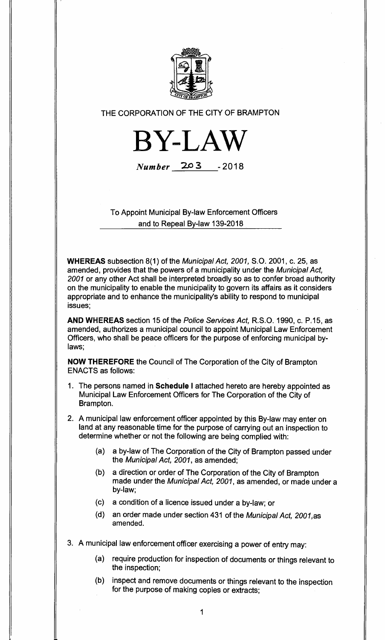

THE CORPORATION OF THE CITY OF BRAMPTON



**Number** 203 - 2018

To Appoint Municipal By-law Enforcement Officers and to Repeal By-law 139-2018

**WHEREAS** subsection 8(1) of the Municipal Act, 2001, S.O. 2001, c. 25, as amended, provides that the powers of a municipality under the Municipal Act, 2001 or any other Act shall be interpreted broadly so as to confer broad authority on the municipality to enable the municipality to govern its affairs as it considers appropriate and to enhance the municipality's ability to respond to municipal issues;

**AND WHEREAS** section 15 of the Police Services Act, R.S.O. 1990, c. P.15, as amended, authorizes a municipal council to appoint Municipal Law Enforcement Officers, who shall be peace officers for the purpose of enforcing municipal bylaws;

**NOW THEREFORE** the Council of The Corporation of the City of Brampton ENACTS as follows:

- 1. The persons named in **Schedule I** attached hereto are hereby appointed as Municipal Law Enforcement Officers for The Corporation of the City of Brampton.
- 2. A municipal law enforcement officer appointed by this By-law may enter on land at any reasonable time for the purpose of carrying out an inspection to determine whether or not the following are being complied with:
	- (a) a by-law of The Corporation of the City of Brampton passed under the Municipal Act, 2001, as amended;
	- (b) a direction or order of The Corporation of the City of Brampton made under the Municipal Act, 2001, as amended, or made under a by-law;
	- (c) a condition of a licence issued under a by-law; or
	- (d) an order made under section 431 of the Municipal Act, 2001,as amended.
- 3. A municipal law enforcement officer exercising a power of entry may:
	- (a) require production for inspection of documents or things relevant to the inspection;
	- (b) inspect and remove documents or things relevant to the inspection for the purpose of making copies or extracts;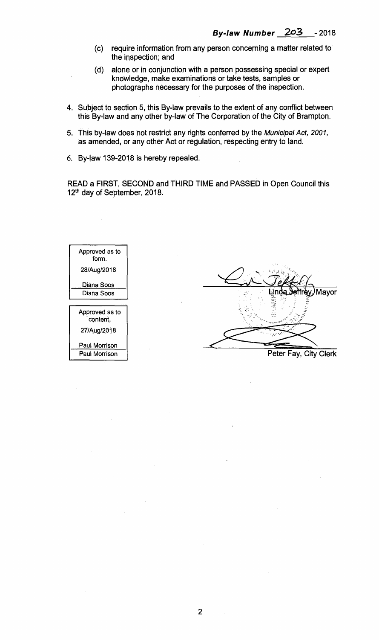- **(c) require information from any person concerning a matter related to the inspection; and**
- **(d) alone or in conjunction with a person possessing special or expert knowledge, make examinations or take tests, samples or photographs necessary for the purposes of the inspection.**
- **4. Subject to section 5, this By-law prevails to the extent of any conflict between this By-law and any other by-law of The Corporation of the City of Brampton.**
- **5. This by-law does not restrict any rights conferred by the** Municipal Act, 2001, **as amended, or any other Act or regulation, respecting entry to land.**
- **6. By-law 139-2018 is hereby repealed.**

**READ a FIRST, SECOND and THIRD TIME and PASSED in Open Council this 12th day of September, 2018.** 



Mayor

**Peter Fay, City Clerk**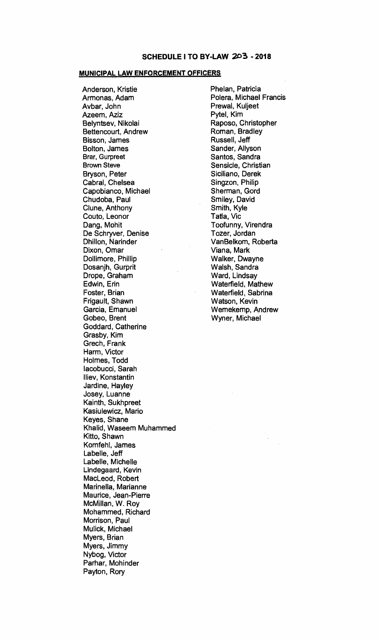## **SCHEDULE I TO BY-LAW 203 - 2018**

## **MUNICIPAL LAW ENFORCEMENT OFFICERS**

**Anderson, Kristie Armonas, Adam Avbar, John Azeem, Aziz Belyntsev, Nikolai Bettencourt, Andrew Bisson, James Bolton, James Brar, Gurpreet Brown Steve Bryson, Peter Cabral, Chelsea Capobianco, Michael Chudoba, Paul Clune, Anthony Couto, Leonor Dang, Mohit De Schryver, Denise Dhillon, Narinder Dixon, Omar Dollimore, Phillip Dosanjh, Gurprit Drope, Graham Edwin, Erin Foster, Brian Frigault, Shawn Garcia, Emanuel Gobeo, Brent Goddard, Catherine Grasby, Kim Grech, Frank Harm, Victor Holmes, Todd lacobucci, Sarah lliev, Konstantin Jardine, Hayley Josey, Luanne Kainth, Sukhpreet Kasiulewicz, Mario Keyes, Shane Khalid, Waseem Muhammed Kitto, Shawn Kornfehl, James Labelle, Jeff Labelle, Michelle Lindegaard, Kevin MacLeod, Robert Marinella, Marianne Maurice, Jean-Pierre McMillan, W. Roy Mohammed, Richard Morrison, Paul Mulick, Michael Myers, Brian Myers, Jimmy Nybog, Victor Parhar, Mohinder Payton, Rory** 

**Phelan, Patricia Polera, Michael Francis Prewal, Kuljeet Pytel, Kim Raposo, Christopher Roman, Bradley Russell, Jeff Sander, Allyson Santos, Sandra Sensicle, Christian Siciliano, Derek Singzon, Philip Sherman, G**.**ord Smiley, David Smith, Kyle Tatla, Vic Toofunny, Virendra Tozer, Jordan VanBelkom, Roberta Viana, Mark Walker, Dwayne Walsh, Sandra Ward, Lindsay Waterfield, Mathew Waterfield, Sabrina Watson, Kevin Wemekemp, Andrew Wyner, Michael**